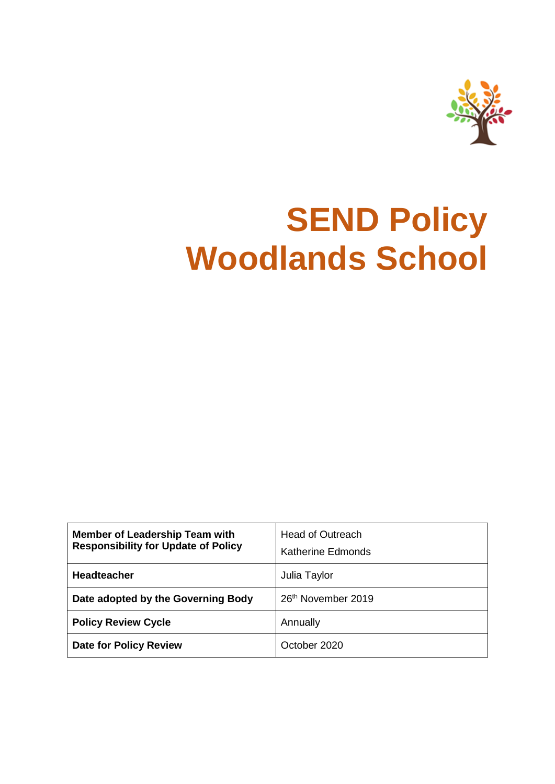

# **SEND Policy Woodlands School**

| <b>Member of Leadership Team with</b><br><b>Responsibility for Update of Policy</b> | <b>Head of Outreach</b><br><b>Katherine Edmonds</b> |
|-------------------------------------------------------------------------------------|-----------------------------------------------------|
| <b>Headteacher</b>                                                                  | Julia Taylor                                        |
| Date adopted by the Governing Body                                                  | 26 <sup>th</sup> November 2019                      |
| <b>Policy Review Cycle</b>                                                          | Annually                                            |
| <b>Date for Policy Review</b>                                                       | October 2020                                        |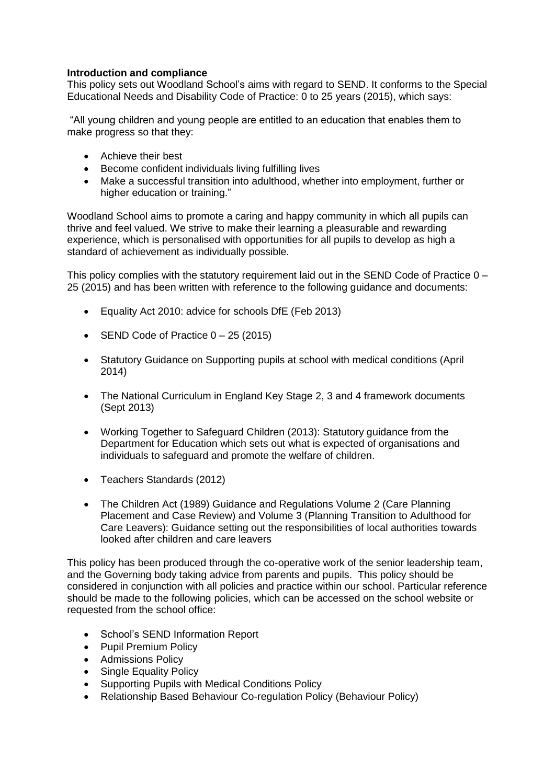# **Introduction and compliance**

This policy sets out Woodland School's aims with regard to SEND. It conforms to the Special Educational Needs and Disability Code of Practice: 0 to 25 years (2015), which says:

"All young children and young people are entitled to an education that enables them to make progress so that they:

- Achieve their best
- Become confident individuals living fulfilling lives
- Make a successful transition into adulthood, whether into employment, further or higher education or training."

Woodland School aims to promote a caring and happy community in which all pupils can thrive and feel valued. We strive to make their learning a pleasurable and rewarding experience, which is personalised with opportunities for all pupils to develop as high a standard of achievement as individually possible.

This policy complies with the statutory requirement laid out in the SEND Code of Practice  $0 -$ 25 (2015) and has been written with reference to the following guidance and documents:

- Equality Act 2010: advice for schools DfE (Feb 2013)
- SEND Code of Practice  $0 25$  (2015)
- Statutory Guidance on Supporting pupils at school with medical conditions (April 2014)
- The National Curriculum in England Key Stage 2, 3 and 4 framework documents (Sept 2013)
- Working Together to Safeguard Children (2013): Statutory guidance from the Department for Education which sets out what is expected of organisations and individuals to safeguard and promote the welfare of children.
- Teachers Standards (2012)
- The Children Act (1989) Guidance and Regulations Volume 2 (Care Planning Placement and Case Review) and Volume 3 (Planning Transition to Adulthood for Care Leavers): Guidance setting out the responsibilities of local authorities towards looked after children and care leavers

This policy has been produced through the co-operative work of the senior leadership team, and the Governing body taking advice from parents and pupils. This policy should be considered in conjunction with all policies and practice within our school. Particular reference should be made to the following policies, which can be accessed on the school website or requested from the school office:

- School's SEND Information Report
- Pupil Premium Policy
- Admissions Policy
- Single Equality Policy
- Supporting Pupils with Medical Conditions Policy
- Relationship Based Behaviour Co-regulation Policy (Behaviour Policy)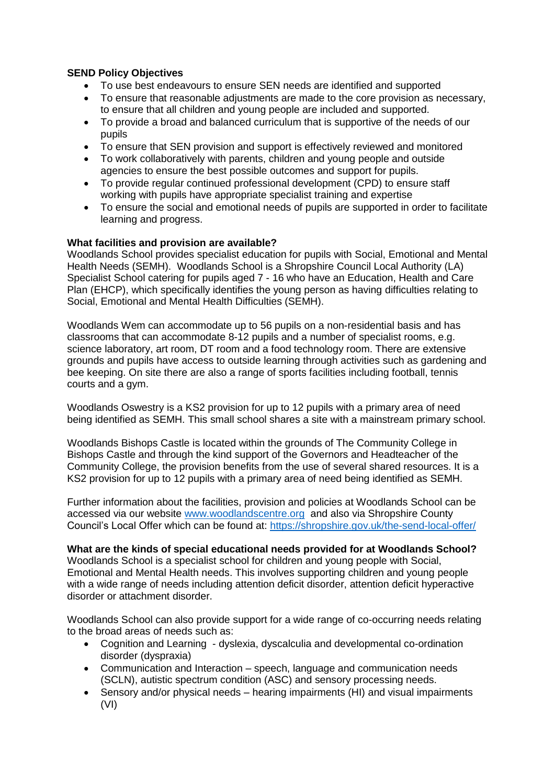# **SEND Policy Objectives**

- To use best endeavours to ensure SEN needs are identified and supported
- To ensure that reasonable adjustments are made to the core provision as necessary, to ensure that all children and young people are included and supported.
- To provide a broad and balanced curriculum that is supportive of the needs of our pupils
- To ensure that SEN provision and support is effectively reviewed and monitored
- To work collaboratively with parents, children and young people and outside agencies to ensure the best possible outcomes and support for pupils.
- To provide regular continued professional development (CPD) to ensure staff working with pupils have appropriate specialist training and expertise
- To ensure the social and emotional needs of pupils are supported in order to facilitate learning and progress.

# **What facilities and provision are available?**

Woodlands School provides specialist education for pupils with Social, Emotional and Mental Health Needs (SEMH). Woodlands School is a Shropshire Council Local Authority (LA) Specialist School catering for pupils aged 7 - 16 who have an Education, Health and Care Plan (EHCP), which specifically identifies the young person as having difficulties relating to Social, Emotional and Mental Health Difficulties (SEMH).

Woodlands Wem can accommodate up to 56 pupils on a non-residential basis and has classrooms that can accommodate 8-12 pupils and a number of specialist rooms, e.g. science laboratory, art room, DT room and a food technology room. There are extensive grounds and pupils have access to outside learning through activities such as gardening and bee keeping. On site there are also a range of sports facilities including football, tennis courts and a gym.

Woodlands Oswestry is a KS2 provision for up to 12 pupils with a primary area of need being identified as SEMH. This small school shares a site with a mainstream primary school.

Woodlands Bishops Castle is located within the grounds of The Community College in Bishops Castle and through the kind support of the Governors and Headteacher of the Community College, the provision benefits from the use of several shared resources. It is a KS2 provision for up to 12 pupils with a primary area of need being identified as SEMH.

Further information about the facilities, provision and policies at Woodlands School can be accessed via our website [www.woodlandscentre.org](http://www.woodlandscentre.org/) and also via Shropshire County Council's Local Offer which can be found at:<https://shropshire.gov.uk/the-send-local-offer/>

**What are the kinds of special educational needs provided for at Woodlands School?** Woodlands School is a specialist school for children and young people with Social, Emotional and Mental Health needs. This involves supporting children and young people with a wide range of needs including attention deficit disorder, attention deficit hyperactive disorder or attachment disorder.

Woodlands School can also provide support for a wide range of co-occurring needs relating to the broad areas of needs such as:

- Cognition and Learning dyslexia, dyscalculia and developmental co-ordination disorder (dyspraxia)
- Communication and Interaction speech, language and communication needs (SCLN), autistic spectrum condition (ASC) and sensory processing needs.
- Sensory and/or physical needs hearing impairments (HI) and visual impairments (VI)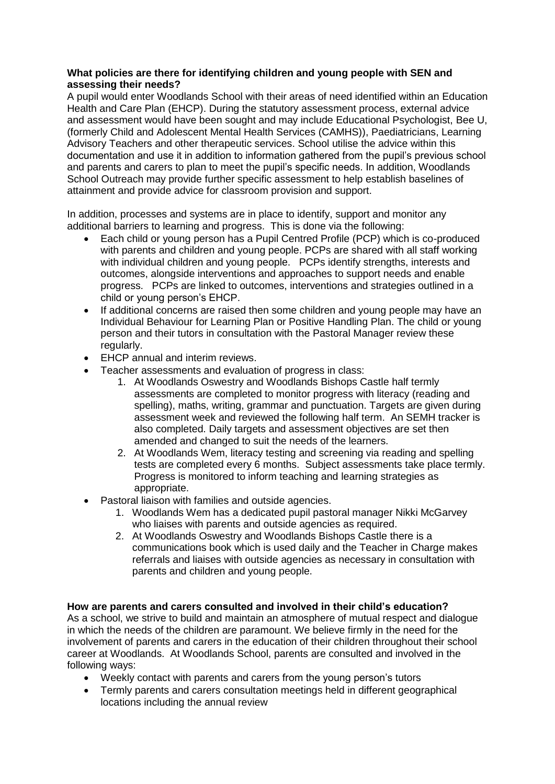# **What policies are there for identifying children and young people with SEN and assessing their needs?**

A pupil would enter Woodlands School with their areas of need identified within an Education Health and Care Plan (EHCP). During the statutory assessment process, external advice and assessment would have been sought and may include Educational Psychologist, Bee U, (formerly Child and Adolescent Mental Health Services (CAMHS)), Paediatricians, Learning Advisory Teachers and other therapeutic services. School utilise the advice within this documentation and use it in addition to information gathered from the pupil's previous school and parents and carers to plan to meet the pupil's specific needs. In addition, Woodlands School Outreach may provide further specific assessment to help establish baselines of attainment and provide advice for classroom provision and support.

In addition, processes and systems are in place to identify, support and monitor any additional barriers to learning and progress. This is done via the following:

- Each child or young person has a Pupil Centred Profile (PCP) which is co-produced with parents and children and young people. PCPs are shared with all staff working with individual children and young people. PCPs identify strengths, interests and outcomes, alongside interventions and approaches to support needs and enable progress. PCPs are linked to outcomes, interventions and strategies outlined in a child or young person's EHCP.
- If additional concerns are raised then some children and young people may have an Individual Behaviour for Learning Plan or Positive Handling Plan. The child or young person and their tutors in consultation with the Pastoral Manager review these regularly.
- EHCP annual and interim reviews.
- Teacher assessments and evaluation of progress in class:
	- 1. At Woodlands Oswestry and Woodlands Bishops Castle half termly assessments are completed to monitor progress with literacy (reading and spelling), maths, writing, grammar and punctuation. Targets are given during assessment week and reviewed the following half term. An SEMH tracker is also completed. Daily targets and assessment objectives are set then amended and changed to suit the needs of the learners.
	- 2. At Woodlands Wem, literacy testing and screening via reading and spelling tests are completed every 6 months. Subject assessments take place termly. Progress is monitored to inform teaching and learning strategies as appropriate.
- Pastoral liaison with families and outside agencies.
	- 1. Woodlands Wem has a dedicated pupil pastoral manager Nikki McGarvey who liaises with parents and outside agencies as required.
	- 2. At Woodlands Oswestry and Woodlands Bishops Castle there is a communications book which is used daily and the Teacher in Charge makes referrals and liaises with outside agencies as necessary in consultation with parents and children and young people.

# **How are parents and carers consulted and involved in their child's education?**

As a school, we strive to build and maintain an atmosphere of mutual respect and dialogue in which the needs of the children are paramount. We believe firmly in the need for the involvement of parents and carers in the education of their children throughout their school career at Woodlands. At Woodlands School, parents are consulted and involved in the following ways:

- Weekly contact with parents and carers from the young person's tutors
- Termly parents and carers consultation meetings held in different geographical locations including the annual review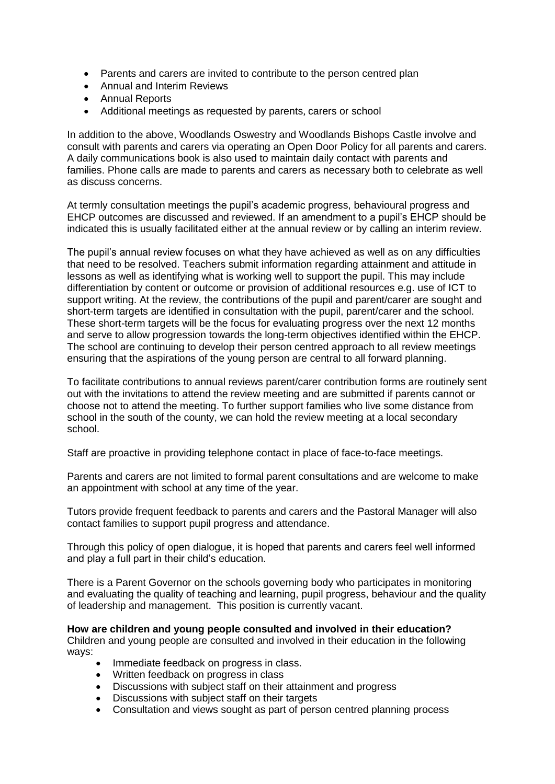- Parents and carers are invited to contribute to the person centred plan
- Annual and Interim Reviews
- Annual Reports
- Additional meetings as requested by parents, carers or school

In addition to the above, Woodlands Oswestry and Woodlands Bishops Castle involve and consult with parents and carers via operating an Open Door Policy for all parents and carers. A daily communications book is also used to maintain daily contact with parents and families. Phone calls are made to parents and carers as necessary both to celebrate as well as discuss concerns.

At termly consultation meetings the pupil's academic progress, behavioural progress and EHCP outcomes are discussed and reviewed. If an amendment to a pupil's EHCP should be indicated this is usually facilitated either at the annual review or by calling an interim review.

The pupil's annual review focuses on what they have achieved as well as on any difficulties that need to be resolved. Teachers submit information regarding attainment and attitude in lessons as well as identifying what is working well to support the pupil. This may include differentiation by content or outcome or provision of additional resources e.g. use of ICT to support writing. At the review, the contributions of the pupil and parent/carer are sought and short-term targets are identified in consultation with the pupil, parent/carer and the school. These short-term targets will be the focus for evaluating progress over the next 12 months and serve to allow progression towards the long-term objectives identified within the EHCP. The school are continuing to develop their person centred approach to all review meetings ensuring that the aspirations of the young person are central to all forward planning.

To facilitate contributions to annual reviews parent/carer contribution forms are routinely sent out with the invitations to attend the review meeting and are submitted if parents cannot or choose not to attend the meeting. To further support families who live some distance from school in the south of the county, we can hold the review meeting at a local secondary school.

Staff are proactive in providing telephone contact in place of face-to-face meetings.

Parents and carers are not limited to formal parent consultations and are welcome to make an appointment with school at any time of the year.

Tutors provide frequent feedback to parents and carers and the Pastoral Manager will also contact families to support pupil progress and attendance.

Through this policy of open dialogue, it is hoped that parents and carers feel well informed and play a full part in their child's education.

There is a Parent Governor on the schools governing body who participates in monitoring and evaluating the quality of teaching and learning, pupil progress, behaviour and the quality of leadership and management. This position is currently vacant.

**How are children and young people consulted and involved in their education?** Children and young people are consulted and involved in their education in the following ways:

- Immediate feedback on progress in class.
- Written feedback on progress in class
- Discussions with subject staff on their attainment and progress
- Discussions with subject staff on their targets
- Consultation and views sought as part of person centred planning process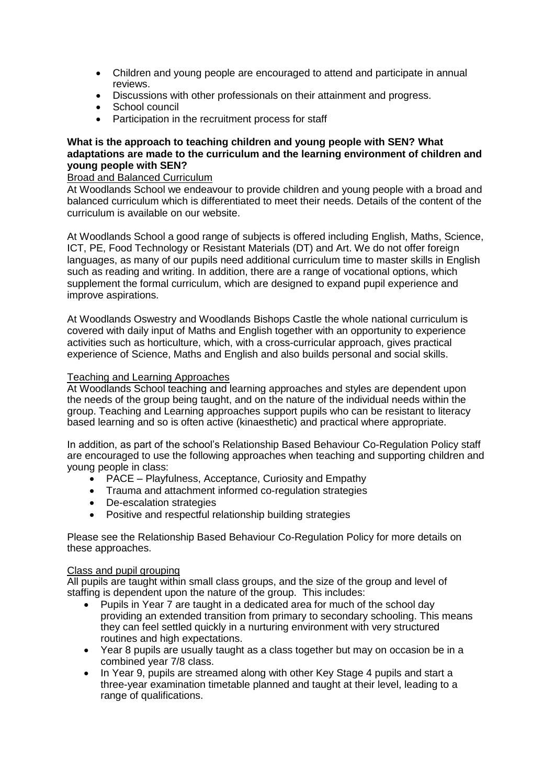- Children and young people are encouraged to attend and participate in annual reviews.
- Discussions with other professionals on their attainment and progress.
- School council
- Participation in the recruitment process for staff

# **What is the approach to teaching children and young people with SEN? What adaptations are made to the curriculum and the learning environment of children and young people with SEN?**

#### Broad and Balanced Curriculum

At Woodlands School we endeavour to provide children and young people with a broad and balanced curriculum which is differentiated to meet their needs. Details of the content of the curriculum is available on our website.

At Woodlands School a good range of subjects is offered including English, Maths, Science, ICT, PE, Food Technology or Resistant Materials (DT) and Art. We do not offer foreign languages, as many of our pupils need additional curriculum time to master skills in English such as reading and writing. In addition, there are a range of vocational options, which supplement the formal curriculum, which are designed to expand pupil experience and improve aspirations.

At Woodlands Oswestry and Woodlands Bishops Castle the whole national curriculum is covered with daily input of Maths and English together with an opportunity to experience activities such as horticulture, which, with a cross-curricular approach, gives practical experience of Science, Maths and English and also builds personal and social skills.

# Teaching and Learning Approaches

At Woodlands School teaching and learning approaches and styles are dependent upon the needs of the group being taught, and on the nature of the individual needs within the group. Teaching and Learning approaches support pupils who can be resistant to literacy based learning and so is often active (kinaesthetic) and practical where appropriate.

In addition, as part of the school's Relationship Based Behaviour Co-Regulation Policy staff are encouraged to use the following approaches when teaching and supporting children and young people in class:

- PACE Playfulness, Acceptance, Curiosity and Empathy
- Trauma and attachment informed co-regulation strategies
- De-escalation strategies
- Positive and respectful relationship building strategies

Please see the Relationship Based Behaviour Co-Regulation Policy for more details on these approaches.

# Class and pupil grouping

All pupils are taught within small class groups, and the size of the group and level of staffing is dependent upon the nature of the group. This includes:

- Pupils in Year 7 are taught in a dedicated area for much of the school day providing an extended transition from primary to secondary schooling. This means they can feel settled quickly in a nurturing environment with very structured routines and high expectations.
- Year 8 pupils are usually taught as a class together but may on occasion be in a combined year 7/8 class.
- In Year 9, pupils are streamed along with other Key Stage 4 pupils and start a three-year examination timetable planned and taught at their level, leading to a range of qualifications.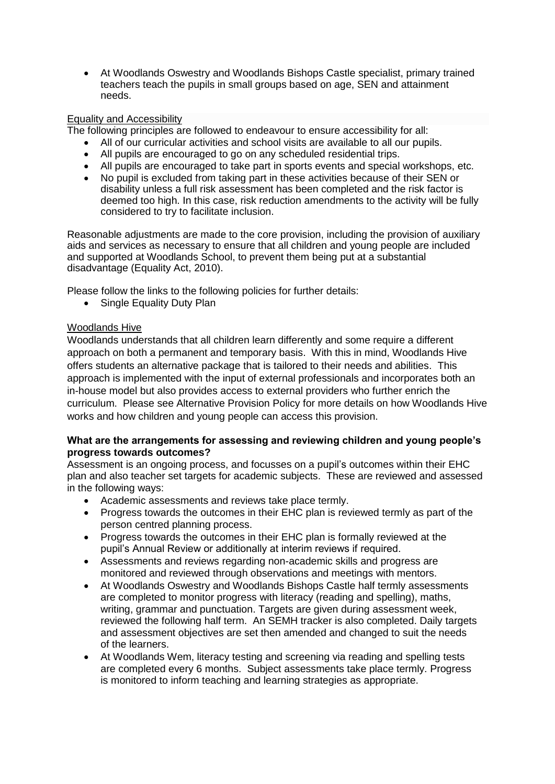At Woodlands Oswestry and Woodlands Bishops Castle specialist, primary trained teachers teach the pupils in small groups based on age, SEN and attainment needs.

# Equality and Accessibility

The following principles are followed to endeavour to ensure accessibility for all:

- All of our curricular activities and school visits are available to all our pupils.
- All pupils are encouraged to go on any scheduled residential trips.
- All pupils are encouraged to take part in sports events and special workshops, etc.
- No pupil is excluded from taking part in these activities because of their SEN or disability unless a full risk assessment has been completed and the risk factor is deemed too high. In this case, risk reduction amendments to the activity will be fully considered to try to facilitate inclusion.

Reasonable adjustments are made to the core provision, including the provision of auxiliary aids and services as necessary to ensure that all children and young people are included and supported at Woodlands School, to prevent them being put at a substantial disadvantage (Equality Act, 2010).

Please follow the links to the following policies for further details:

• Single Equality Duty Plan

# Woodlands Hive

Woodlands understands that all children learn differently and some require a different approach on both a permanent and temporary basis. With this in mind, Woodlands Hive offers students an alternative package that is tailored to their needs and abilities. This approach is implemented with the input of external professionals and incorporates both an in-house model but also provides access to external providers who further enrich the curriculum. Please see Alternative Provision Policy for more details on how Woodlands Hive works and how children and young people can access this provision.

# **What are the arrangements for assessing and reviewing children and young people's progress towards outcomes?**

Assessment is an ongoing process, and focusses on a pupil's outcomes within their EHC plan and also teacher set targets for academic subjects. These are reviewed and assessed in the following ways:

- Academic assessments and reviews take place termly.
- Progress towards the outcomes in their EHC plan is reviewed termly as part of the person centred planning process.
- Progress towards the outcomes in their EHC plan is formally reviewed at the pupil's Annual Review or additionally at interim reviews if required.
- Assessments and reviews regarding non-academic skills and progress are monitored and reviewed through observations and meetings with mentors.
- At Woodlands Oswestry and Woodlands Bishops Castle half termly assessments are completed to monitor progress with literacy (reading and spelling), maths, writing, grammar and punctuation. Targets are given during assessment week, reviewed the following half term. An SEMH tracker is also completed. Daily targets and assessment objectives are set then amended and changed to suit the needs of the learners.
- At Woodlands Wem, literacy testing and screening via reading and spelling tests are completed every 6 months. Subject assessments take place termly. Progress is monitored to inform teaching and learning strategies as appropriate.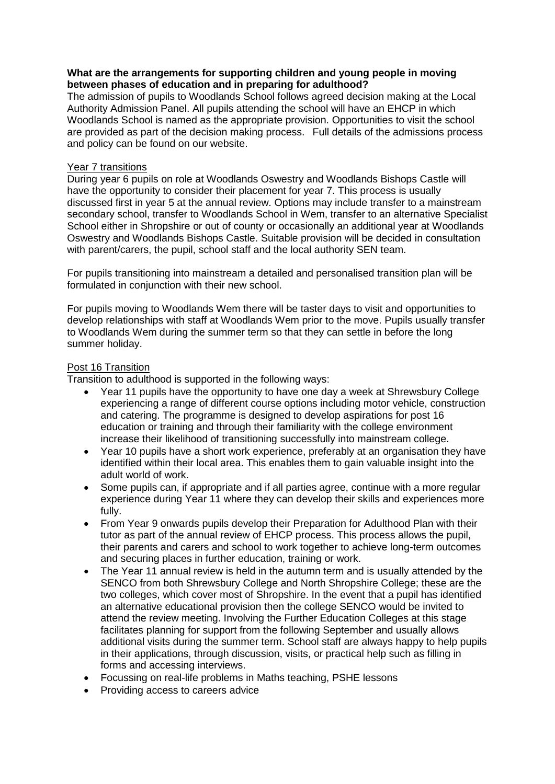#### **What are the arrangements for supporting children and young people in moving between phases of education and in preparing for adulthood?**

The admission of pupils to Woodlands School follows agreed decision making at the Local Authority Admission Panel. All pupils attending the school will have an EHCP in which Woodlands School is named as the appropriate provision. Opportunities to visit the school are provided as part of the decision making process. Full details of the admissions process and policy can be found on our website.

#### Year 7 transitions

During year 6 pupils on role at Woodlands Oswestry and Woodlands Bishops Castle will have the opportunity to consider their placement for year 7. This process is usually discussed first in year 5 at the annual review. Options may include transfer to a mainstream secondary school, transfer to Woodlands School in Wem, transfer to an alternative Specialist School either in Shropshire or out of county or occasionally an additional year at Woodlands Oswestry and Woodlands Bishops Castle. Suitable provision will be decided in consultation with parent/carers, the pupil, school staff and the local authority SEN team.

For pupils transitioning into mainstream a detailed and personalised transition plan will be formulated in conjunction with their new school.

For pupils moving to Woodlands Wem there will be taster days to visit and opportunities to develop relationships with staff at Woodlands Wem prior to the move. Pupils usually transfer to Woodlands Wem during the summer term so that they can settle in before the long summer holiday.

# Post 16 Transition

Transition to adulthood is supported in the following ways:

- Year 11 pupils have the opportunity to have one day a week at Shrewsbury College experiencing a range of different course options including motor vehicle, construction and catering. The programme is designed to develop aspirations for post 16 education or training and through their familiarity with the college environment increase their likelihood of transitioning successfully into mainstream college.
- Year 10 pupils have a short work experience, preferably at an organisation they have identified within their local area. This enables them to gain valuable insight into the adult world of work.
- Some pupils can, if appropriate and if all parties agree, continue with a more regular experience during Year 11 where they can develop their skills and experiences more fully.
- From Year 9 onwards pupils develop their Preparation for Adulthood Plan with their tutor as part of the annual review of EHCP process. This process allows the pupil, their parents and carers and school to work together to achieve long-term outcomes and securing places in further education, training or work.
- The Year 11 annual review is held in the autumn term and is usually attended by the SENCO from both Shrewsbury College and North Shropshire College; these are the two colleges, which cover most of Shropshire. In the event that a pupil has identified an alternative educational provision then the college SENCO would be invited to attend the review meeting. Involving the Further Education Colleges at this stage facilitates planning for support from the following September and usually allows additional visits during the summer term. School staff are always happy to help pupils in their applications, through discussion, visits, or practical help such as filling in forms and accessing interviews.
- Focussing on real-life problems in Maths teaching, PSHE lessons
- Providing access to careers advice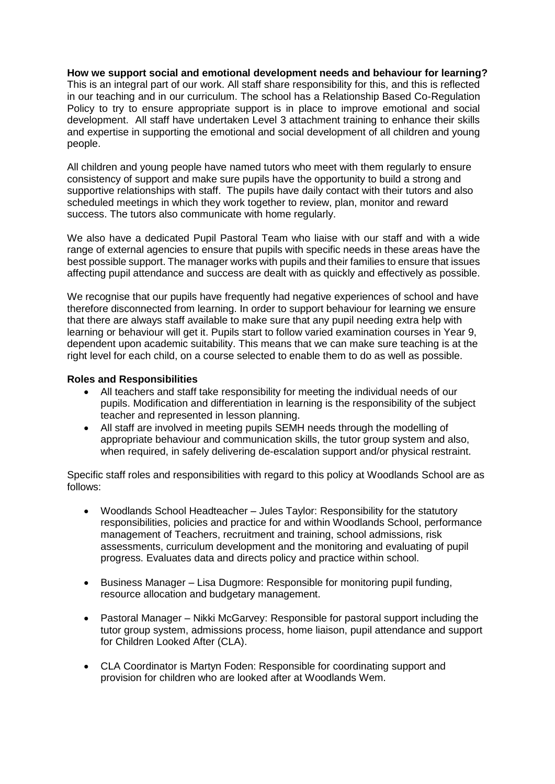**How we support social and emotional development needs and behaviour for learning?** This is an integral part of our work. All staff share responsibility for this, and this is reflected in our teaching and in our curriculum. The school has a Relationship Based Co-Regulation Policy to try to ensure appropriate support is in place to improve emotional and social development. All staff have undertaken Level 3 attachment training to enhance their skills and expertise in supporting the emotional and social development of all children and young people.

All children and young people have named tutors who meet with them regularly to ensure consistency of support and make sure pupils have the opportunity to build a strong and supportive relationships with staff. The pupils have daily contact with their tutors and also scheduled meetings in which they work together to review, plan, monitor and reward success. The tutors also communicate with home regularly.

We also have a dedicated Pupil Pastoral Team who liaise with our staff and with a wide range of external agencies to ensure that pupils with specific needs in these areas have the best possible support. The manager works with pupils and their families to ensure that issues affecting pupil attendance and success are dealt with as quickly and effectively as possible.

We recognise that our pupils have frequently had negative experiences of school and have therefore disconnected from learning. In order to support behaviour for learning we ensure that there are always staff available to make sure that any pupil needing extra help with learning or behaviour will get it. Pupils start to follow varied examination courses in Year 9, dependent upon academic suitability. This means that we can make sure teaching is at the right level for each child, on a course selected to enable them to do as well as possible.

# **Roles and Responsibilities**

- All teachers and staff take responsibility for meeting the individual needs of our pupils. Modification and differentiation in learning is the responsibility of the subject teacher and represented in lesson planning.
- All staff are involved in meeting pupils SEMH needs through the modelling of appropriate behaviour and communication skills, the tutor group system and also, when required, in safely delivering de-escalation support and/or physical restraint.

Specific staff roles and responsibilities with regard to this policy at Woodlands School are as follows:

- Woodlands School Headteacher Jules Taylor: Responsibility for the statutory responsibilities, policies and practice for and within Woodlands School, performance management of Teachers, recruitment and training, school admissions, risk assessments, curriculum development and the monitoring and evaluating of pupil progress. Evaluates data and directs policy and practice within school.
- Business Manager Lisa Dugmore: Responsible for monitoring pupil funding, resource allocation and budgetary management.
- Pastoral Manager Nikki McGarvey: Responsible for pastoral support including the tutor group system, admissions process, home liaison, pupil attendance and support for Children Looked After (CLA).
- CLA Coordinator is Martyn Foden: Responsible for coordinating support and provision for children who are looked after at Woodlands Wem.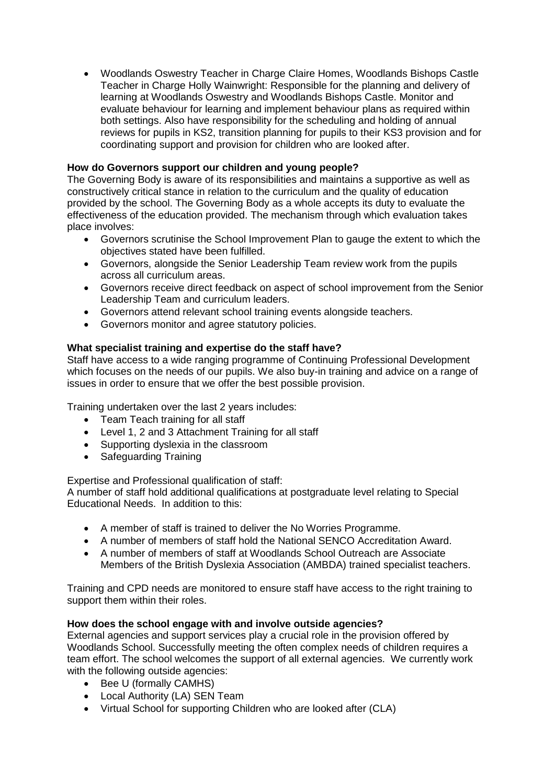Woodlands Oswestry Teacher in Charge Claire Homes, Woodlands Bishops Castle Teacher in Charge Holly Wainwright: Responsible for the planning and delivery of learning at Woodlands Oswestry and Woodlands Bishops Castle. Monitor and evaluate behaviour for learning and implement behaviour plans as required within both settings. Also have responsibility for the scheduling and holding of annual reviews for pupils in KS2, transition planning for pupils to their KS3 provision and for coordinating support and provision for children who are looked after.

# **How do Governors support our children and young people?**

The Governing Body is aware of its responsibilities and maintains a supportive as well as constructively critical stance in relation to the curriculum and the quality of education provided by the school. The Governing Body as a whole accepts its duty to evaluate the effectiveness of the education provided. The mechanism through which evaluation takes place involves:

- Governors scrutinise the School Improvement Plan to gauge the extent to which the objectives stated have been fulfilled.
- Governors, alongside the Senior Leadership Team review work from the pupils across all curriculum areas.
- Governors receive direct feedback on aspect of school improvement from the Senior Leadership Team and curriculum leaders.
- Governors attend relevant school training events alongside teachers.
- Governors monitor and agree statutory policies.

# **What specialist training and expertise do the staff have?**

Staff have access to a wide ranging programme of Continuing Professional Development which focuses on the needs of our pupils. We also buy-in training and advice on a range of issues in order to ensure that we offer the best possible provision.

Training undertaken over the last 2 years includes:

- Team Teach training for all staff
- Level 1, 2 and 3 Attachment Training for all staff
- Supporting dyslexia in the classroom
- Safeguarding Training

Expertise and Professional qualification of staff:

A number of staff hold additional qualifications at postgraduate level relating to Special Educational Needs. In addition to this:

- A member of staff is trained to deliver the No Worries Programme.
- A number of members of staff hold the National SENCO Accreditation Award.
- A number of members of staff at Woodlands School Outreach are Associate Members of the British Dyslexia Association (AMBDA) trained specialist teachers.

Training and CPD needs are monitored to ensure staff have access to the right training to support them within their roles.

# **How does the school engage with and involve outside agencies?**

External agencies and support services play a crucial role in the provision offered by Woodlands School. Successfully meeting the often complex needs of children requires a team effort. The school welcomes the support of all external agencies. We currently work with the following outside agencies:

- Bee U (formally CAMHS)
- Local Authority (LA) SEN Team
- Virtual School for supporting Children who are looked after (CLA)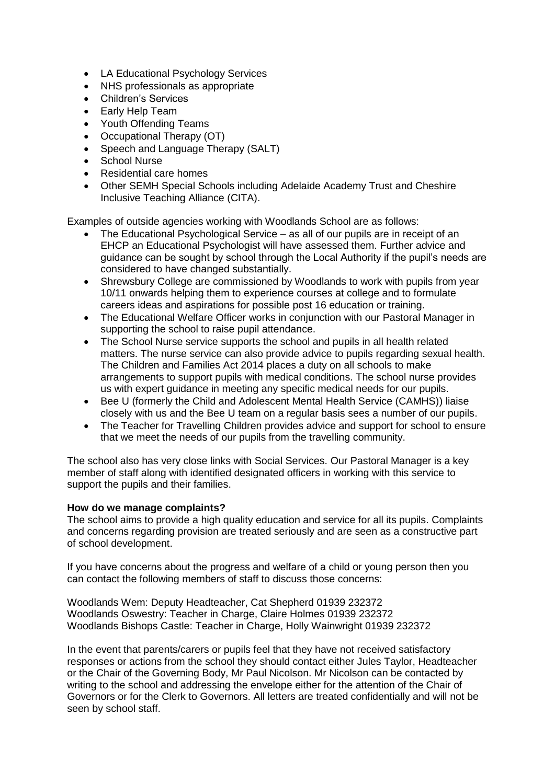- LA Educational Psychology Services
- NHS professionals as appropriate
- Children's Services
- Early Help Team
- Youth Offending Teams
- Occupational Therapy (OT)
- Speech and Language Therapy (SALT)
- School Nurse
- Residential care homes
- Other SEMH Special Schools including Adelaide Academy Trust and Cheshire Inclusive Teaching Alliance (CITA).

Examples of outside agencies working with Woodlands School are as follows:

- The Educational Psychological Service as all of our pupils are in receipt of an EHCP an Educational Psychologist will have assessed them. Further advice and guidance can be sought by school through the Local Authority if the pupil's needs are considered to have changed substantially.
- Shrewsbury College are commissioned by Woodlands to work with pupils from year 10/11 onwards helping them to experience courses at college and to formulate careers ideas and aspirations for possible post 16 education or training.
- The Educational Welfare Officer works in conjunction with our Pastoral Manager in supporting the school to raise pupil attendance.
- The School Nurse service supports the school and pupils in all health related matters. The nurse service can also provide advice to pupils regarding sexual health. The Children and Families Act 2014 places a duty on all schools to make arrangements to support pupils with medical conditions. The school nurse provides us with expert guidance in meeting any specific medical needs for our pupils.
- Bee U (formerly the Child and Adolescent Mental Health Service (CAMHS)) liaise closely with us and the Bee U team on a regular basis sees a number of our pupils.
- The Teacher for Travelling Children provides advice and support for school to ensure that we meet the needs of our pupils from the travelling community.

The school also has very close links with Social Services. Our Pastoral Manager is a key member of staff along with identified designated officers in working with this service to support the pupils and their families.

# **How do we manage complaints?**

The school aims to provide a high quality education and service for all its pupils. Complaints and concerns regarding provision are treated seriously and are seen as a constructive part of school development.

If you have concerns about the progress and welfare of a child or young person then you can contact the following members of staff to discuss those concerns:

Woodlands Wem: Deputy Headteacher, Cat Shepherd 01939 232372 Woodlands Oswestry: Teacher in Charge, Claire Holmes 01939 232372 Woodlands Bishops Castle: Teacher in Charge, Holly Wainwright 01939 232372

In the event that parents/carers or pupils feel that they have not received satisfactory responses or actions from the school they should contact either Jules Taylor, Headteacher or the Chair of the Governing Body, Mr Paul Nicolson. Mr Nicolson can be contacted by writing to the school and addressing the envelope either for the attention of the Chair of Governors or for the Clerk to Governors. All letters are treated confidentially and will not be seen by school staff.